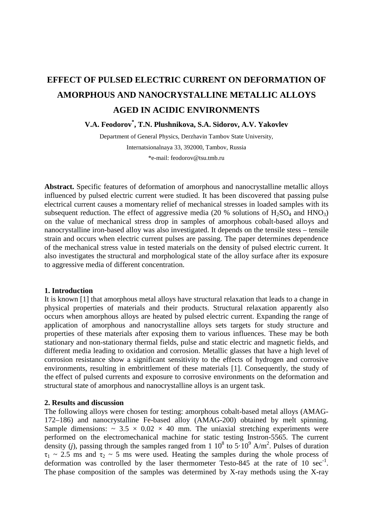# **EFFECT OF PULSED ELECTRIC CURRENT ON DEFORMATION OF AMORPHOUS AND NANOCRYSTALLINE METALLIC ALLOYS AGED IN ACIDIC ENVIRONMENTS**

**V.A. Feodorov\* , T.N. Plushnikova, S.A. Sidorov, A.V. Yakovlev** 

Department of General Physics, Derzhavin Tambov State University, Internatsionalnaya 33, 392000, Tambov, Russia \*e-mail[: feodorov@tsu.tmb.ru](mailto:feodorov@tsu.tmb.ru) 

**Abstract.** Specific features of deformation of amorphous and nanocrystalline metallic alloys influenced by pulsed electric current were studied. It has been discovered that passing pulse electrical current causes a momentary relief of mechanical stresses in loaded samples with its subsequent reduction. The effect of aggressive media (20 % solutions of  $H_2SO_4$  and  $HNO_3$ ) on the value of mechanical stress drop in samples of amorphous cobalt-based alloys and nanocrystalline iron-based alloy was also investigated. It depends on the tensile stess – tensile strain and occurs when electric current pulses are passing. The paper determines dependence of the mechanical stress value in tested materials on the density of pulsed electric current. It also investigates the structural and morphological state of the alloy surface after its exposure to aggressive media of different concentration.

### **1. Introduction**

It is known [1] that amorphous metal alloys have structural relaxation that leads to a change in physical properties of materials and their products. Structural relaxation apparently also occurs when amorphous alloys are heated by pulsed electric current. Expanding the range of application of amorphous and nanocrystalline alloys sets targets for study structure and properties of these materials after exposing them to various influences. These may be both stationary and non-stationary thermal fields, pulse and static electric and magnetic fields, and different media leading to oxidation and corrosion. Metallic glasses that have a high level of corrosion resistance show a significant sensitivity to the effects of hydrogen and corrosive environments, resulting in embrittlement of these materials [1]. Consequently, the study of the effect of pulsed currents and exposure to corrosive environments on the deformation and structural state of amorphous and nanocrystalline alloys is an urgent task.

# **2. Results and discussion**

The following alloys were chosen for testing: amorphous cobalt-based metal alloys (AMAG-172–186) and nanocrystalline Fe-based alloy (AMAG-200) obtained by melt spinning. Sample dimensions:  $\sim$  3.5  $\times$  0.02  $\times$  40 mm. The uniaxial stretching experiments were performed on the electromechanical machine for static testing Instron-5565. The current density (*j*), passing through the samples ranged from 1  $10^8$  to  $5.10^9$  A/m<sup>2</sup>. Pulses of duration  $\tau_1 \sim 2.5$  ms and  $\tau_2 \sim 5$  ms were used. Heating the samples during the whole process of deformation was controlled by the laser thermometer Testo-845 at the rate of 10  $sec^{-1}$ . The phase composition of the samples was determined by X-ray methods using the X-ray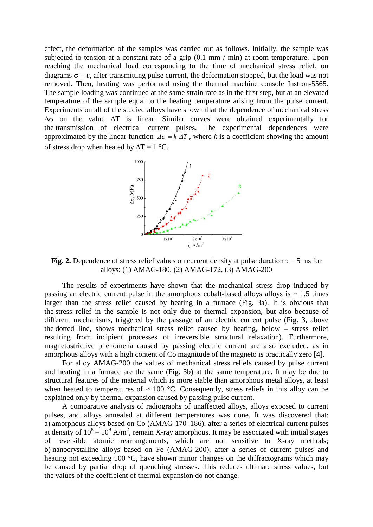effect, the deformation of the samples was carried out as follows. Initially, the sample was subjected to tension at a constant rate of a grip (0.1 mm / min) at room temperature. Upon reaching the mechanical load corresponding to the time of mechanical stress relief, on diagrams  $\sigma - \varepsilon$ , after transmitting pulse current, the deformation stopped, but the load was not removed. Then, heating was performed using the thermal machine console Instron-5565. The sample loading was continued at the same strain rate as in the first step, but at an elevated temperature of the sample equal to the heating temperature arising from the pulse current. Experiments on all of the studied alloys have shown that the dependence of mechanical stress ∆σ on the value ∆T is linear. Similar curves were obtained experimentally for the transmission of electrical current pulses. The experimental dependences were approximated by the linear function  $\Delta \sigma = k \Delta T$ , where *k* is a coefficient showing the amount of stress drop when heated by  $\Delta T = 1 \degree C$ .



**Fig. 2.** Dependence of stress relief values on current density at pulse duration  $\tau = 5$  ms for alloys: (1) AMAG-180, (2) AMAG-172, (3) AMAG-200

The results of experiments have shown that the mechanical stress drop induced by passing an electric current pulse in the amorphous cobalt-based alloys alloys is  $\sim 1.5$  times larger than the stress relief caused by heating in a furnace (Fig. 3a). It is obvious that the stress relief in the sample is not only due to thermal expansion, but also because of different mechanisms, triggered by the passage of an electric current pulse (Fig. 3, above the dotted line, shows mechanical stress relief caused by heating, below – stress relief resulting from incipient processes of irreversible structural relaxation). Furthermore, magnetostrictive phenomena caused by passing electric current are also excluded, as in amorphous alloys with a high content of Co magnitude of the magneto is practically zero [4].

For alloy AMAG-200 the values of mechanical stress reliefs caused by pulse current and heating in a furnace are the same (Fig. 3b) at the same temperature. It may be due to structural features of the material which is more stable than amorphous metal alloys, at least when heated to temperatures of  $\approx 100$  °C. Consequently, stress reliefs in this alloy can be explained only by thermal expansion caused by passing pulse current.

A comparative analysis of radiographs of unaffected alloys, alloys exposed to current pulses, and alloys annealed at different temperatures was done. It was discovered that: a) amorphous alloys based on Co (AMAG-170–186), after a series of electrical current pulses at density of  $10^8 - 10^9$  A/m<sup>2</sup>, remain X-ray amorphous. It may be associated with initial stages of reversible atomic rearrangements, which are not sensitive to X-ray methods; b) nanocrystalline alloys based on Fe (AMAG-200), after a series of current pulses and heating not exceeding 100 °C, have shown minor changes on the diffractograms which may be caused by partial drop of quenching stresses. This reduces ultimate stress values, but the values of the coefficient of thermal expansion do not change.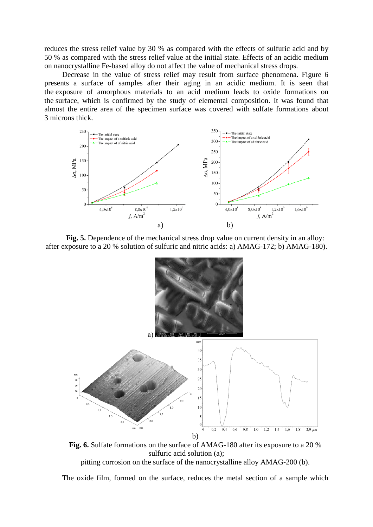reduces the stress relief value by 30 % as compared with the effects of sulfuric acid and by 50 % as compared with the stress relief value at the initial state. Effects of an acidic medium on nanocrystalline Fe-based alloy do not affect the value of mechanical stress drops.

Decrease in the value of stress relief may result from surface phenomena. Figure 6 presents a surface of samples after their aging in an acidic medium. It is seen that the exposure of amorphous materials to an acid medium leads to oxide formations on the surface, which is confirmed by the study of elemental composition. It was found that almost the entire area of the specimen surface was covered with sulfate formations about 3 microns thick.



**Fig. 5.** Dependence of the mechanical stress drop value on current density in an alloy: after exposure to a 20 % solution of sulfuric and nitric acids: a) AMAG-172; b) AMAG-180).



**Fig. 6.** Sulfate formations on the surface of AMAG-180 after its exposure to a 20 % sulfuric acid solution (a);

pitting corrosion on the surface of the nanocrystalline alloy AMAG-200 (b).

The oxide film, formed on the surface, reduces the metal section of a sample which